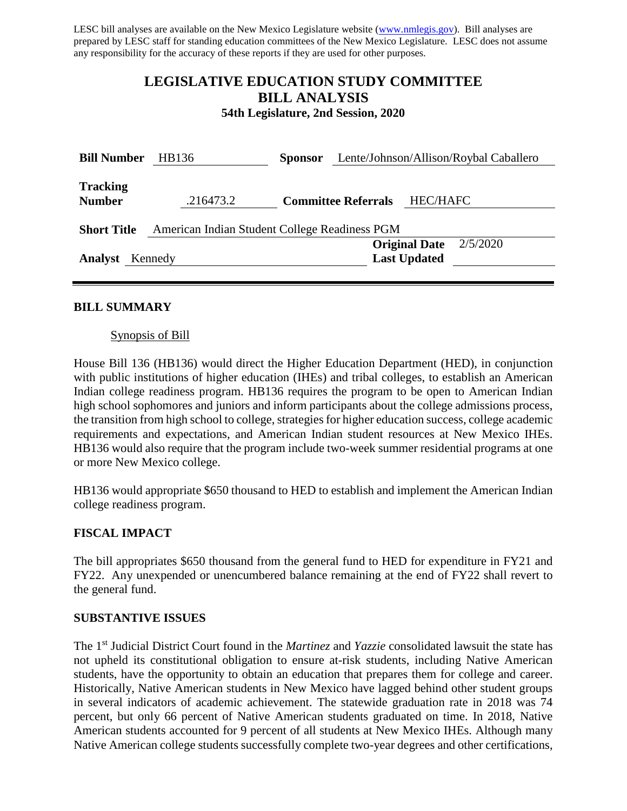LESC bill analyses are available on the New Mexico Legislature website [\(www.nmlegis.gov\)](http://www.nmlegis.gov/). Bill analyses are prepared by LESC staff for standing education committees of the New Mexico Legislature. LESC does not assume any responsibility for the accuracy of these reports if they are used for other purposes.

# **LEGISLATIVE EDUCATION STUDY COMMITTEE BILL ANALYSIS**

**54th Legislature, 2nd Session, 2020**

| <b>Bill Number</b>               | HB136                                         | <b>Sponsor</b> | Lente/Johnson/Allison/Roybal Caballero |                                             |          |  |
|----------------------------------|-----------------------------------------------|----------------|----------------------------------------|---------------------------------------------|----------|--|
| <b>Tracking</b><br><b>Number</b> | .216473.2<br><b>Committee Referrals</b>       |                |                                        | <b>HEC/HAFC</b>                             |          |  |
| <b>Short Title</b>               | American Indian Student College Readiness PGM |                |                                        |                                             |          |  |
| <b>Analyst</b><br>Kennedy        |                                               |                |                                        | <b>Original Date</b><br><b>Last Updated</b> | 2/5/2020 |  |

#### **BILL SUMMARY**

#### Synopsis of Bill

House Bill 136 (HB136) would direct the Higher Education Department (HED), in conjunction with public institutions of higher education (IHEs) and tribal colleges, to establish an American Indian college readiness program. HB136 requires the program to be open to American Indian high school sophomores and juniors and inform participants about the college admissions process, the transition from high school to college, strategies for higher education success, college academic requirements and expectations, and American Indian student resources at New Mexico IHEs. HB136 would also require that the program include two-week summer residential programs at one or more New Mexico college.

HB136 would appropriate \$650 thousand to HED to establish and implement the American Indian college readiness program.

#### **FISCAL IMPACT**

The bill appropriates \$650 thousand from the general fund to HED for expenditure in FY21 and FY22. Any unexpended or unencumbered balance remaining at the end of FY22 shall revert to the general fund.

#### **SUBSTANTIVE ISSUES**

The 1st Judicial District Court found in the *Martinez* and *Yazzie* consolidated lawsuit the state has not upheld its constitutional obligation to ensure at-risk students, including Native American students, have the opportunity to obtain an education that prepares them for college and career. Historically, Native American students in New Mexico have lagged behind other student groups in several indicators of academic achievement. The statewide graduation rate in 2018 was 74 percent, but only 66 percent of Native American students graduated on time. In 2018, Native American students accounted for 9 percent of all students at New Mexico IHEs. Although many Native American college students successfully complete two-year degrees and other certifications,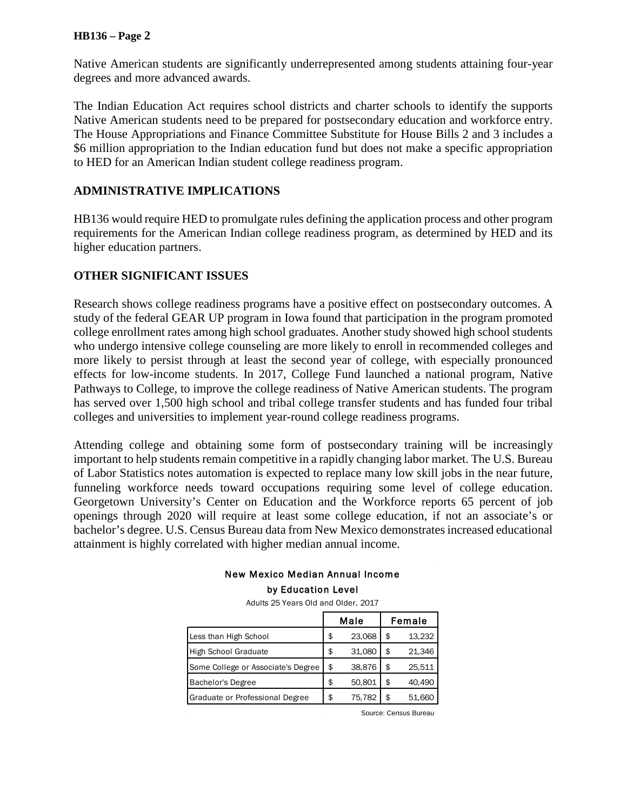#### **HB136 – Page 2**

Native American students are significantly underrepresented among students attaining four-year degrees and more advanced awards.

The Indian Education Act requires school districts and charter schools to identify the supports Native American students need to be prepared for postsecondary education and workforce entry. The House Appropriations and Finance Committee Substitute for House Bills 2 and 3 includes a \$6 million appropriation to the Indian education fund but does not make a specific appropriation to HED for an American Indian student college readiness program.

#### **ADMINISTRATIVE IMPLICATIONS**

HB136 would require HED to promulgate rules defining the application process and other program requirements for the American Indian college readiness program, as determined by HED and its higher education partners.

## **OTHER SIGNIFICANT ISSUES**

Research shows college readiness programs have a positive effect on postsecondary outcomes. A study of the federal GEAR UP program in Iowa found that participation in the program promoted college enrollment rates among high school graduates. Another study showed high school students who undergo intensive college counseling are more likely to enroll in recommended colleges and more likely to persist through at least the second year of college, with especially pronounced effects for low-income students. In 2017, College Fund launched a national program, Native Pathways to College, to improve the college readiness of Native American students. The program has served over 1,500 high school and tribal college transfer students and has funded four tribal colleges and universities to implement year-round college readiness programs.

Attending college and obtaining some form of postsecondary training will be increasingly important to help students remain competitive in a rapidly changing labor market. The U.S. Bureau of Labor Statistics notes automation is expected to replace many low skill jobs in the near future, funneling workforce needs toward occupations requiring some level of college education. Georgetown University's Center on Education and the Workforce reports 65 percent of job openings through 2020 will require at least some college education, if not an associate's or bachelor's degree. U.S. Census Bureau data from New Mexico demonstratesincreased educational attainment is highly correlated with higher median annual income.

#### New Mexico Median Annual Income by Education Level

Adults 25 Years Old and Older, 2017

|                                    | Male |        | Female |        |
|------------------------------------|------|--------|--------|--------|
| Less than High School              |      | 23,068 | \$     | 13,232 |
| High School Graduate               |      | 31,080 | \$     | 21,346 |
| Some College or Associate's Degree |      | 38,876 | \$     | 25,511 |
| Bachelor's Degree                  |      | 50,801 | \$     | 40.490 |
| Graduate or Professional Degree    |      | 75.782 | \$     | 51.660 |

Source: Census Bureau